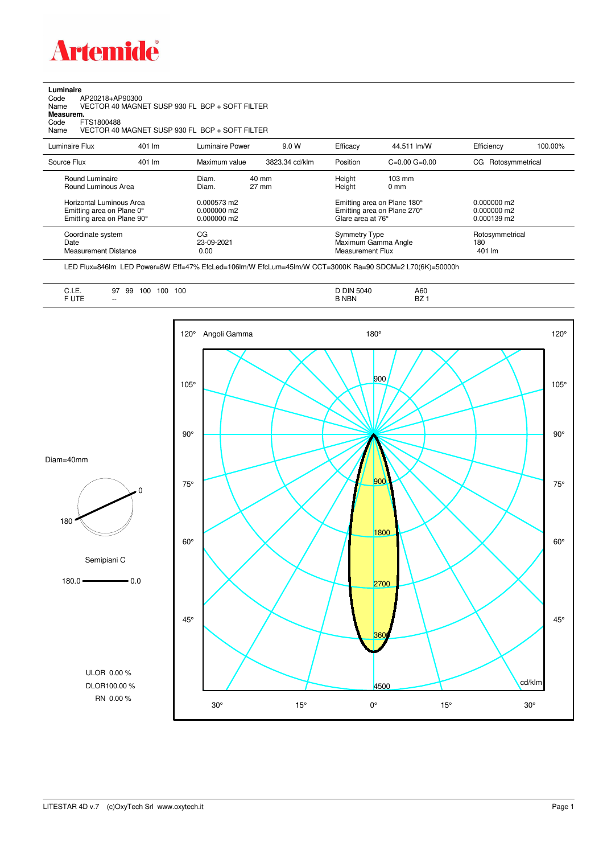

**Luminaire**

| Code<br>AP20218+AP90300<br>Name<br>Measurem.<br>FTS1800488<br>Code<br>Name          |        | VECTOR 40 MAGNET SUSP 930 FL BCP + SOFT FILTER<br>VECTOR 40 MAGNET SUSP 930 FL BCP + SOFT FILTER |                                    |                                                                        |                                                                                 |                                  |         |
|-------------------------------------------------------------------------------------|--------|--------------------------------------------------------------------------------------------------|------------------------------------|------------------------------------------------------------------------|---------------------------------------------------------------------------------|----------------------------------|---------|
| Luminaire Flux                                                                      | 401 lm | Luminaire Power                                                                                  | 9.0 W                              | Efficacy                                                               | 44.511 lm/W                                                                     | Efficiency                       | 100.00% |
| Source Flux                                                                         | 401 lm | Maximum value                                                                                    | 3823.34 cd/klm                     | Position                                                               | $C=0.00$ $G=0.00$                                                               | Rotosymmetrical<br>CG.           |         |
| Round Luminaire<br>Round Luminous Area                                              |        | Diam.<br>Diam.                                                                                   | $40 \text{ mm}$<br>$27 \text{ mm}$ | Height<br>Height                                                       | $103 \text{ mm}$<br>0 <sub>mm</sub>                                             |                                  |         |
| Horizontal Luminous Area<br>Emitting area on Plane 0°<br>Emitting area on Plane 90° |        | 0.000573 m2<br>0.000000 m2<br>0.000000 m2                                                        |                                    |                                                                        | Emitting area on Plane 180°<br>Emitting area on Plane 270°<br>Glare area at 76° |                                  |         |
| Coordinate system<br>Date<br><b>Measurement Distance</b>                            |        | CG<br>23-09-2021<br>0.00                                                                         |                                    | <b>Symmetry Type</b><br>Maximum Gamma Angle<br><b>Measurement Flux</b> |                                                                                 | Rotosymmetrical<br>180<br>401 lm |         |

LED Flux=846lm LED Power=8W Eff=47% EfcLed=106lm/W EfcLum=45lm/W CCT=3000K Ra=90 SDCM=2 L70(6K)=50000h